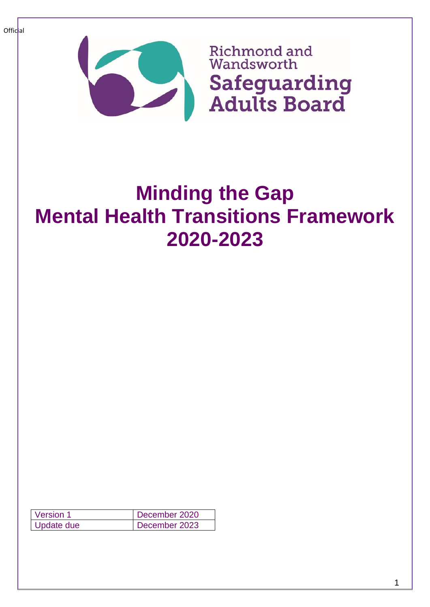

# **Minding the Gap Mental Health Transitions Framework 2020-2023**

| Version 1  | December 2020 |
|------------|---------------|
| Update due | December 2023 |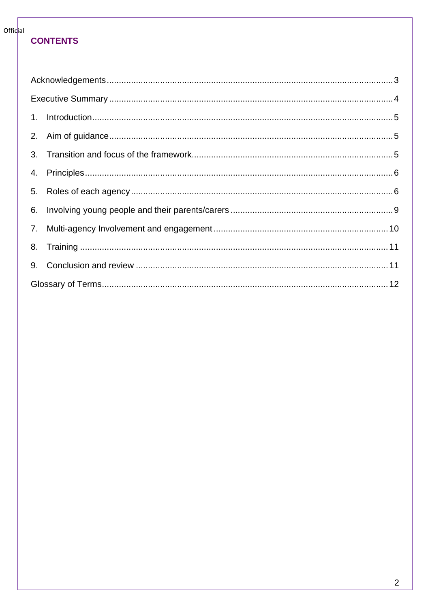## **CONTENTS**

| 9. |  |  |
|----|--|--|
|    |  |  |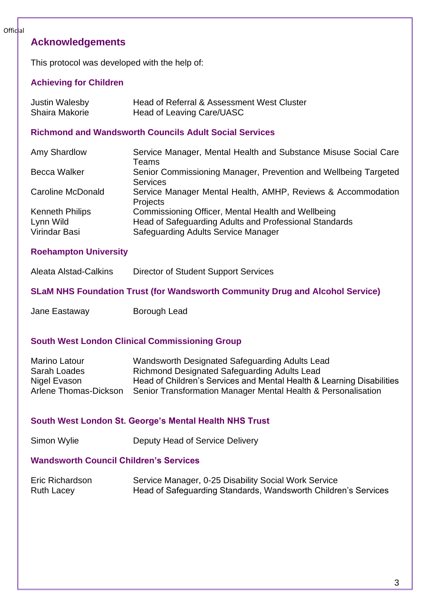# <span id="page-2-0"></span>**Acknowledgements**

This protocol was developed with the help of:

#### **Achieving for Children**

| <b>Justin Walesby</b> | Head of Referral & Assessment West Cluster |
|-----------------------|--------------------------------------------|
| Shaira Makorie        | Head of Leaving Care/UASC                  |

#### **Richmond and Wandsworth Councils Adult Social Services**

| Amy Shardlow             | Service Manager, Mental Health and Substance Misuse Social Care                    |
|--------------------------|------------------------------------------------------------------------------------|
|                          | Teams                                                                              |
| <b>Becca Walker</b>      | Senior Commissioning Manager, Prevention and Wellbeing Targeted<br><b>Services</b> |
| <b>Caroline McDonald</b> | Service Manager Mental Health, AMHP, Reviews & Accommodation<br>Projects           |
| <b>Kenneth Philips</b>   | Commissioning Officer, Mental Health and Wellbeing                                 |
| Lynn Wild                | Head of Safeguarding Adults and Professional Standards                             |
| Virindar Basi            | <b>Safeguarding Adults Service Manager</b>                                         |

#### **Roehampton University**

**SLaM NHS Foundation Trust (for Wandsworth Community Drug and Alcohol Service)**

Jane Eastaway **Borough Lead** 

#### **South West London Clinical Commissioning Group**

| Marino Latour         | Wandsworth Designated Safeguarding Adults Lead                        |
|-----------------------|-----------------------------------------------------------------------|
| Sarah Loades          | Richmond Designated Safeguarding Adults Lead                          |
| Nigel Evason          | Head of Children's Services and Mental Health & Learning Disabilities |
| Arlene Thomas-Dickson | Senior Transformation Manager Mental Health & Personalisation         |

#### **South West London St. George's Mental Health NHS Trust**

Simon Wylie **Deputy Head of Service Delivery** 

#### **Wandsworth Council Children's Services**

| Eric Richardson   | Service Manager, 0-25 Disability Social Work Service           |
|-------------------|----------------------------------------------------------------|
| <b>Ruth Lacey</b> | Head of Safeguarding Standards, Wandsworth Children's Services |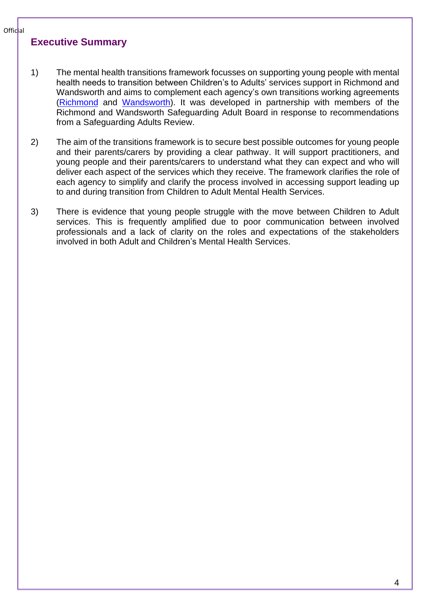#### <span id="page-3-0"></span>**Executive Summary**

- 1) The mental health transitions framework focusses on supporting young people with mental health needs to transition between Children's to Adults' services support in Richmond and Wandsworth and aims to complement each agency's own transitions working agreements [\(Richmond](https://www.richmond.gov.uk/services/adult_social_care/adult_social_care_information_and_advice/who_we_can_help/moving_from_childrens_to_adult_services/transitions_planning) and [Wandsworth\)](https://www.wandsworth.gov.uk/health-and-social-care/adult-social-care/adult-social-care-information-and-advice/who-adult-social-care-can-help/moving-from-childrens-to-adults-services/transitions-planning/). It was developed in partnership with members of the Richmond and Wandsworth Safeguarding Adult Board in response to recommendations from a Safeguarding Adults Review.
- 2) The aim of the transitions framework is to secure best possible outcomes for young people and their parents/carers by providing a clear pathway. It will support practitioners, and young people and their parents/carers to understand what they can expect and who will deliver each aspect of the services which they receive. The framework clarifies the role of each agency to simplify and clarify the process involved in accessing support leading up to and during transition from Children to Adult Mental Health Services.
- 3) There is evidence that young people struggle with the move between Children to Adult services. This is frequently amplified due to poor communication between involved professionals and a lack of clarity on the roles and expectations of the stakeholders involved in both Adult and Children's Mental Health Services.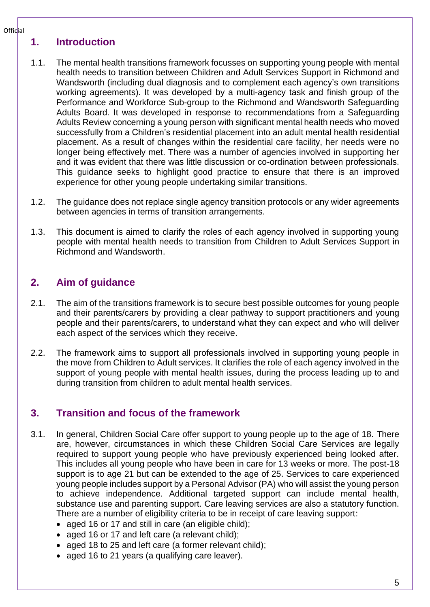## <span id="page-4-0"></span>**1. Introduction**

- 1.1. The mental health transitions framework focusses on supporting young people with mental health needs to transition between Children and Adult Services Support in Richmond and Wandsworth (including dual diagnosis and to complement each agency's own transitions working agreements). It was developed by a multi-agency task and finish group of the Performance and Workforce Sub-group to the Richmond and Wandsworth Safeguarding Adults Board. It was developed in response to recommendations from a Safeguarding Adults Review concerning a young person with significant mental health needs who moved successfully from a Children's residential placement into an adult mental health residential placement. As a result of changes within the residential care facility, her needs were no longer being effectively met. There was a number of agencies involved in supporting her and it was evident that there was little discussion or co-ordination between professionals. This guidance seeks to highlight good practice to ensure that there is an improved experience for other young people undertaking similar transitions.
- 1.2. The guidance does not replace single agency transition protocols or any wider agreements between agencies in terms of transition arrangements.
- 1.3. This document is aimed to clarify the roles of each agency involved in supporting young people with mental health needs to transition from Children to Adult Services Support in Richmond and Wandsworth.

## <span id="page-4-1"></span>**2. Aim of guidance**

- 2.1. The aim of the transitions framework is to secure best possible outcomes for young people and their parents/carers by providing a clear pathway to support practitioners and young people and their parents/carers, to understand what they can expect and who will deliver each aspect of the services which they receive.
- 2.2. The framework aims to support all professionals involved in supporting young people in the move from Children to Adult services. It clarifies the role of each agency involved in the support of young people with mental health issues, during the process leading up to and during transition from children to adult mental health services.

# <span id="page-4-2"></span>**3. Transition and focus of the framework**

- 3.1. In general, Children Social Care offer support to young people up to the age of 18. There are, however, circumstances in which these Children Social Care Services are legally required to support young people who have previously experienced being looked after. This includes all young people who have been in care for 13 weeks or more. The post-18 support is to age 21 but can be extended to the age of 25. Services to care experienced young people includes support by a Personal Advisor (PA) who will assist the young person to achieve independence. Additional targeted support can include mental health, substance use and parenting support. Care leaving services are also a statutory function. There are a number of eligibility criteria to be in receipt of care leaving support:
	- aged 16 or 17 and still in care (an eligible child);
	- aged 16 or 17 and left care (a relevant child);
	- aged 18 to 25 and left care (a former relevant child);
	- aged 16 to 21 years (a qualifying care leaver).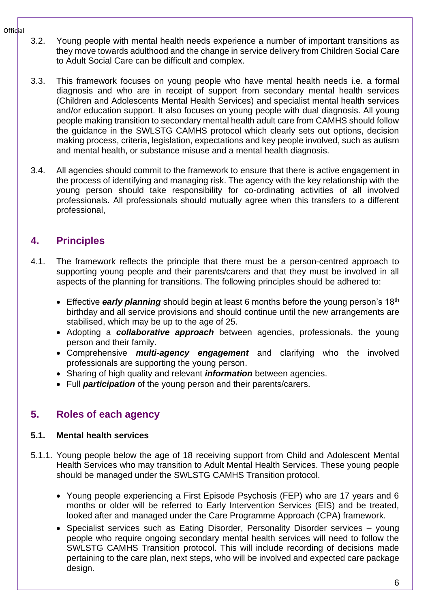- 3.2. Young people with mental health needs experience a number of important transitions as they move towards adulthood and the change in service delivery from Children Social Care to Adult Social Care can be difficult and complex.
- 3.3. This framework focuses on young people who have mental health needs i.e. a formal diagnosis and who are in receipt of support from secondary mental health services (Children and Adolescents Mental Health Services) and specialist mental health services and/or education support. It also focuses on young people with dual diagnosis. All young people making transition to secondary mental health adult care from CAMHS should follow the guidance in the SWLSTG CAMHS protocol which clearly sets out options, decision making process, criteria, legislation, expectations and key people involved, such as autism and mental health, or substance misuse and a mental health diagnosis.
- 3.4. All agencies should commit to the framework to ensure that there is active engagement in the process of identifying and managing risk. The agency with the key relationship with the young person should take responsibility for co-ordinating activities of all involved professionals. All professionals should mutually agree when this transfers to a different professional,

# <span id="page-5-0"></span>**4. Principles**

- 4.1. The framework reflects the principle that there must be a person-centred approach to supporting young people and their parents/carers and that they must be involved in all aspects of the planning for transitions. The following principles should be adhered to:
	- Effective **early planning** should begin at least 6 months before the young person's 18<sup>th</sup> birthday and all service provisions and should continue until the new arrangements are stabilised, which may be up to the age of 25.
	- Adopting a *collaborative approach* between agencies, professionals, the young person and their family.
	- Comprehensive *multi-agency engagement* and clarifying who the involved professionals are supporting the young person.
	- Sharing of high quality and relevant *information* between agencies.
	- Full *participation* of the young person and their parents/carers.

# <span id="page-5-1"></span>**5. Roles of each agency**

#### **5.1. Mental health services**

- 5.1.1. Young people below the age of 18 receiving support from Child and Adolescent Mental Health Services who may transition to Adult Mental Health Services. These young people should be managed under the SWLSTG CAMHS Transition protocol.
	- Young people experiencing a First Episode Psychosis (FEP) who are 17 years and 6 months or older will be referred to Early Intervention Services (EIS) and be treated, looked after and managed under the Care Programme Approach (CPA) framework.
	- Specialist services such as Eating Disorder, Personality Disorder services young people who require ongoing secondary mental health services will need to follow the SWLSTG CAMHS Transition protocol. This will include recording of decisions made pertaining to the care plan, next steps, who will be involved and expected care package design.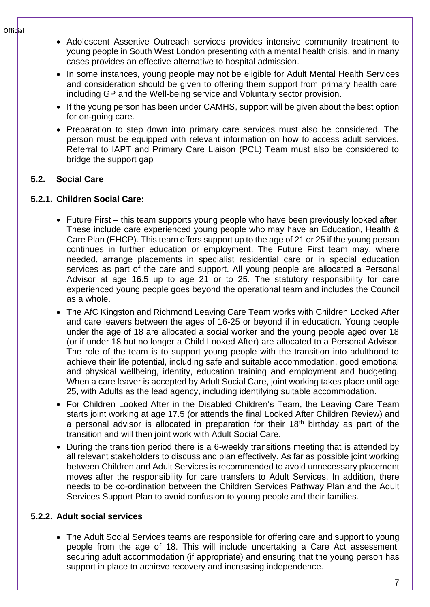- Adolescent Assertive Outreach services provides intensive community treatment to young people in South West London presenting with a mental health crisis, and in many cases provides an effective alternative to hospital admission.
- In some instances, young people may not be eligible for Adult Mental Health Services and consideration should be given to offering them support from primary health care, including GP and the Well-being service and Voluntary sector provision.
- If the young person has been under CAMHS, support will be given about the best option for on-going care.
- Preparation to step down into primary care services must also be considered. The person must be equipped with relevant information on how to access adult services. Referral to IAPT and Primary Care Liaison (PCL) Team must also be considered to bridge the support gap

## **5.2. Social Care**

### **5.2.1. Children Social Care:**

- Future First this team supports young people who have been previously looked after. These include care experienced young people who may have an Education, Health & Care Plan (EHCP). This team offers support up to the age of 21 or 25 if the young person continues in further education or employment. The Future First team may, where needed, arrange placements in specialist residential care or in special education services as part of the care and support. All young people are allocated a Personal Advisor at age 16.5 up to age 21 or to 25. The statutory responsibility for care experienced young people goes beyond the operational team and includes the Council as a whole.
- The AfC Kingston and Richmond Leaving Care Team works with Children Looked After and care leavers between the ages of 16-25 or beyond if in education. Young people under the age of 18 are allocated a social worker and the young people aged over 18 (or if under 18 but no longer a Child Looked After) are allocated to a Personal Advisor. The role of the team is to support young people with the transition into adulthood to achieve their life potential, including safe and suitable accommodation, good emotional and physical wellbeing, identity, education training and employment and budgeting. When a care leaver is accepted by Adult Social Care, joint working takes place until age 25, with Adults as the lead agency, including identifying suitable accommodation.
- For Children Looked After in the Disabled Children's Team, the Leaving Care Team starts joint working at age 17.5 (or attends the final Looked After Children Review) and a personal advisor is allocated in preparation for their 18<sup>th</sup> birthday as part of the transition and will then joint work with Adult Social Care.
- During the transition period there is a 6-weekly transitions meeting that is attended by all relevant stakeholders to discuss and plan effectively. As far as possible joint working between Children and Adult Services is recommended to avoid unnecessary placement moves after the responsibility for care transfers to Adult Services. In addition, there needs to be co-ordination between the Children Services Pathway Plan and the Adult Services Support Plan to avoid confusion to young people and their families.

## **5.2.2. Adult social services**

• The Adult Social Services teams are responsible for offering care and support to young people from the age of 18. This will include undertaking a Care Act assessment, securing adult accommodation (if appropriate) and ensuring that the young person has support in place to achieve recovery and increasing independence.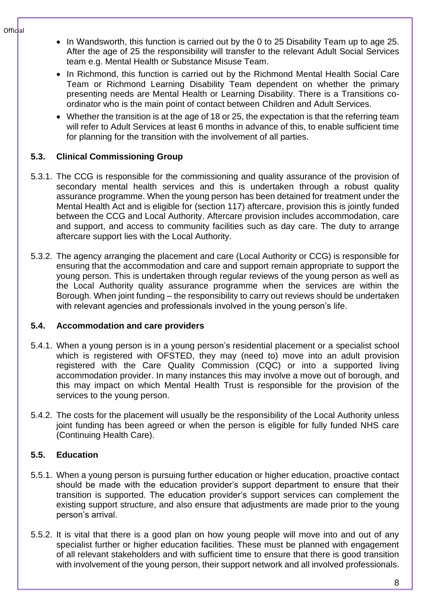- Official
- In Wandsworth, this function is carried out by the 0 to 25 Disability Team up to age 25. After the age of 25 the responsibility will transfer to the relevant Adult Social Services team e.g. Mental Health or Substance Misuse Team.
- In Richmond, this function is carried out by the Richmond Mental Health Social Care Team or Richmond Learning Disability Team dependent on whether the primary presenting needs are Mental Health or Learning Disability. There is a Transitions coordinator who is the main point of contact between Children and Adult Services.
- Whether the transition is at the age of 18 or 25, the expectation is that the referring team will refer to Adult Services at least 6 months in advance of this, to enable sufficient time for planning for the transition with the involvement of all parties.

## **5.3. Clinical Commissioning Group**

- 5.3.1. The CCG is responsible for the commissioning and quality assurance of the provision of secondary mental health services and this is undertaken through a robust quality assurance programme. When the young person has been detained for treatment under the Mental Health Act and is eligible for (section 117) aftercare, provision this is jointly funded between the CCG and Local Authority. Aftercare provision includes accommodation, care and support, and access to community facilities such as day care. The duty to arrange aftercare support lies with the Local Authority.
- 5.3.2. The agency arranging the placement and care (Local Authority or CCG) is responsible for ensuring that the accommodation and care and support remain appropriate to support the young person. This is undertaken through regular reviews of the young person as well as the Local Authority quality assurance programme when the services are within the Borough. When joint funding – the responsibility to carry out reviews should be undertaken with relevant agencies and professionals involved in the young person's life.

#### **5.4. Accommodation and care providers**

- 5.4.1. When a young person is in a young person's residential placement or a specialist school which is registered with OFSTED, they may (need to) move into an adult provision registered with the Care Quality Commission (CQC) or into a supported living accommodation provider. In many instances this may involve a move out of borough, and this may impact on which Mental Health Trust is responsible for the provision of the services to the young person.
- 5.4.2. The costs for the placement will usually be the responsibility of the Local Authority unless joint funding has been agreed or when the person is eligible for fully funded NHS care (Continuing Health Care).

#### **5.5. Education**

- 5.5.1. When a young person is pursuing further education or higher education, proactive contact should be made with the education provider's support department to ensure that their transition is supported. The education provider's support services can complement the existing support structure, and also ensure that adjustments are made prior to the young person's arrival.
- 5.5.2. It is vital that there is a good plan on how young people will move into and out of any specialist further or higher education facilities. These must be planned with engagement of all relevant stakeholders and with sufficient time to ensure that there is good transition with involvement of the young person, their support network and all involved professionals.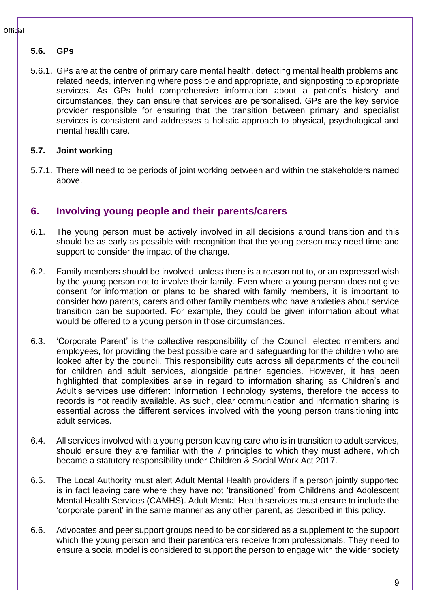## **5.6. GPs**

5.6.1. GPs are at the centre of primary care mental health, detecting mental health problems and related needs, intervening where possible and appropriate, and signposting to appropriate services. As GPs hold comprehensive information about a patient's history and circumstances, they can ensure that services are personalised. GPs are the key service provider responsible for ensuring that the transition between primary and specialist services is consistent and addresses a holistic approach to physical, psychological and mental health care.

#### **5.7. Joint working**

5.7.1. There will need to be periods of joint working between and within the stakeholders named above.

# <span id="page-8-0"></span>**6. Involving young people and their parents/carers**

- 6.1. The young person must be actively involved in all decisions around transition and this should be as early as possible with recognition that the young person may need time and support to consider the impact of the change.
- 6.2. Family members should be involved, unless there is a reason not to, or an expressed wish by the young person not to involve their family. Even where a young person does not give consent for information or plans to be shared with family members, it is important to consider how parents, carers and other family members who have anxieties about service transition can be supported. For example, they could be given information about what would be offered to a young person in those circumstances.
- 6.3. 'Corporate Parent' is the collective responsibility of the Council, elected members and employees, for providing the best possible care and safeguarding for the children who are looked after by the council. This responsibility cuts across all departments of the council for children and adult services, alongside partner agencies. However, it has been highlighted that complexities arise in regard to information sharing as Children's and Adult's services use different Information Technology systems, therefore the access to records is not readily available. As such, clear communication and information sharing is essential across the different services involved with the young person transitioning into adult services.
- 6.4. All services involved with a young person leaving care who is in transition to adult services, should ensure they are familiar with the 7 principles to which they must adhere, which became a statutory responsibility under Children & Social Work Act 2017.
- 6.5. The Local Authority must alert Adult Mental Health providers if a person jointly supported is in fact leaving care where they have not 'transitioned' from Childrens and Adolescent Mental Health Services (CAMHS). Adult Mental Health services must ensure to include the 'corporate parent' in the same manner as any other parent, as described in this policy.
- 6.6. Advocates and peer support groups need to be considered as a supplement to the support which the young person and their parent/carers receive from professionals. They need to ensure a social model is considered to support the person to engage with the wider society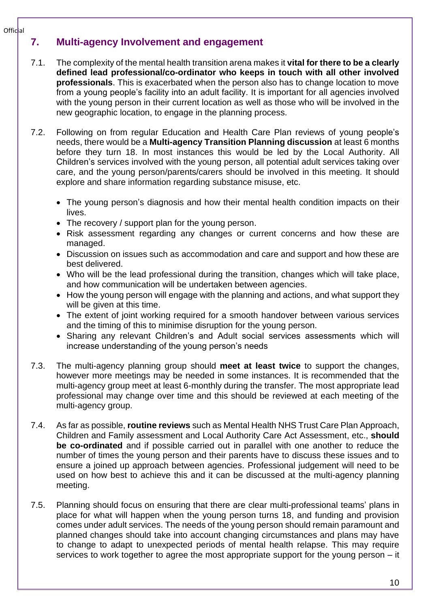# <span id="page-9-0"></span>**7. Multi-agency Involvement and engagement**

- 7.1. The complexity of the mental health transition arena makes it **vital for there to be a clearly defined lead professional/co-ordinator who keeps in touch with all other involved professionals**. This is exacerbated when the person also has to change location to move from a young people's facility into an adult facility. It is important for all agencies involved with the young person in their current location as well as those who will be involved in the new geographic location, to engage in the planning process.
- 7.2. Following on from regular Education and Health Care Plan reviews of young people's needs, there would be a **Multi-agency Transition Planning discussion** at least 6 months before they turn 18. In most instances this would be led by the Local Authority. All Children's services involved with the young person, all potential adult services taking over care, and the young person/parents/carers should be involved in this meeting. It should explore and share information regarding substance misuse, etc.
	- The young person's diagnosis and how their mental health condition impacts on their lives.
	- The recovery / support plan for the young person.
	- Risk assessment regarding any changes or current concerns and how these are managed.
	- Discussion on issues such as accommodation and care and support and how these are best delivered.
	- Who will be the lead professional during the transition, changes which will take place, and how communication will be undertaken between agencies.
	- How the young person will engage with the planning and actions, and what support they will be given at this time.
	- The extent of joint working required for a smooth handover between various services and the timing of this to minimise disruption for the young person.
	- Sharing any relevant Children's and Adult social services assessments which will increase understanding of the young person's needs
- 7.3. The multi-agency planning group should **meet at least twice** to support the changes, however more meetings may be needed in some instances. It is recommended that the multi-agency group meet at least 6-monthly during the transfer. The most appropriate lead professional may change over time and this should be reviewed at each meeting of the multi-agency group.
- 7.4. As far as possible, **routine reviews** such as Mental Health NHS Trust Care Plan Approach, Children and Family assessment and Local Authority Care Act Assessment, etc., **should be co-ordinated** and if possible carried out in parallel with one another to reduce the number of times the young person and their parents have to discuss these issues and to ensure a joined up approach between agencies. Professional judgement will need to be used on how best to achieve this and it can be discussed at the multi-agency planning meeting.
- 7.5. Planning should focus on ensuring that there are clear multi-professional teams' plans in place for what will happen when the young person turns 18, and funding and provision comes under adult services. The needs of the young person should remain paramount and planned changes should take into account changing circumstances and plans may have to change to adapt to unexpected periods of mental health relapse. This may require services to work together to agree the most appropriate support for the young person – it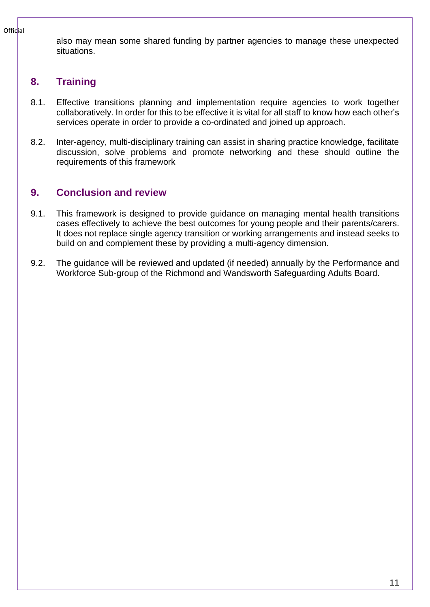also may mean some shared funding by partner agencies to manage these unexpected situations.

# <span id="page-10-0"></span>**8. Training**

- 8.1. Effective transitions planning and implementation require agencies to work together collaboratively. In order for this to be effective it is vital for all staff to know how each other's services operate in order to provide a co-ordinated and joined up approach.
- 8.2. Inter-agency, multi-disciplinary training can assist in sharing practice knowledge, facilitate discussion, solve problems and promote networking and these should outline the requirements of this framework

# <span id="page-10-1"></span>**9. Conclusion and review**

- 9.1. This framework is designed to provide guidance on managing mental health transitions cases effectively to achieve the best outcomes for young people and their parents/carers. It does not replace single agency transition or working arrangements and instead seeks to build on and complement these by providing a multi-agency dimension.
- 9.2. The guidance will be reviewed and updated (if needed) annually by the Performance and Workforce Sub-group of the Richmond and Wandsworth Safeguarding Adults Board.